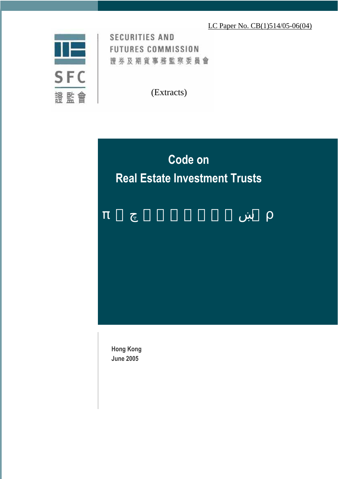# LC Paper No. CB(1)514/05-06(04)



**SECURITIES AND FUTURES COMMISSION** 證券及期貨事務監察委員會

(Extracts)

# **Code on Real Estate Investment Trusts**

**Hong Kong June 2005**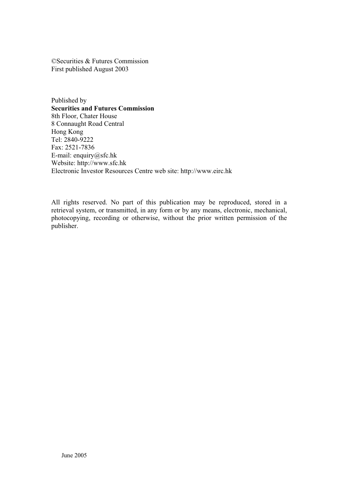©Securities & Futures Commission First published August 2003

Published by **Securities and Futures Commission**  8th Floor, Chater House 8 Connaught Road Central Hong Kong Tel: 2840-9222 Fax: 2521-7836 E-mail: enquiry@sfc.hk Website: http://www.sfc.hk Electronic Investor Resources Centre web site: http://www.eirc.hk

All rights reserved. No part of this publication may be reproduced, stored in a retrieval system, or transmitted, in any form or by any means, electronic, mechanical, photocopying, recording or otherwise, without the prior written permission of the publisher.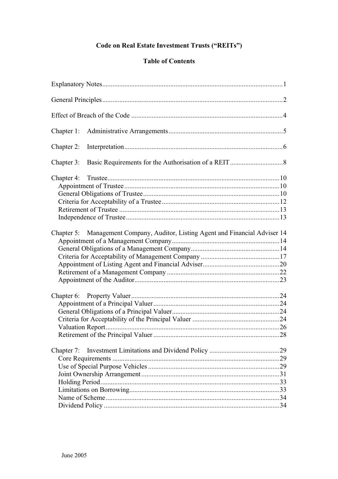# Code on Real Estate Investment Trusts ("REITs")

# **Table of Contents**

| Chapter 1:                                                                        |  |
|-----------------------------------------------------------------------------------|--|
| Chapter 2:                                                                        |  |
| Chapter 3:                                                                        |  |
|                                                                                   |  |
| Management Company, Auditor, Listing Agent and Financial Adviser 14<br>Chapter 5: |  |
|                                                                                   |  |
| Chapter 7:                                                                        |  |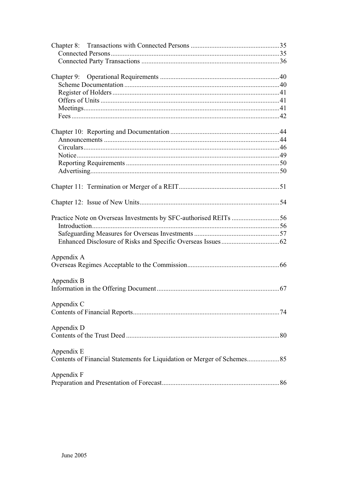| Appendix A                                                               |  |
|--------------------------------------------------------------------------|--|
|                                                                          |  |
| Appendix B                                                               |  |
|                                                                          |  |
|                                                                          |  |
| Appendix C                                                               |  |
|                                                                          |  |
| Appendix D                                                               |  |
|                                                                          |  |
|                                                                          |  |
| Appendix E                                                               |  |
| Contents of Financial Statements for Liquidation or Merger of Schemes 85 |  |
|                                                                          |  |
| Appendix F                                                               |  |
|                                                                          |  |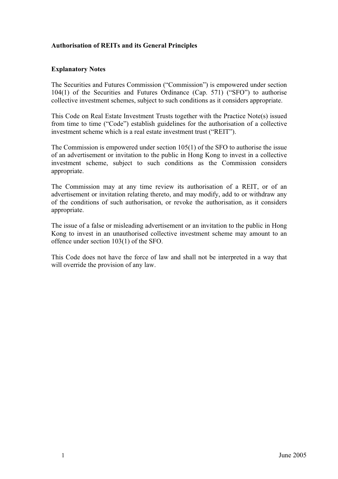# **Authorisation of REITs and its General Principles**

#### **Explanatory Notes**

The Securities and Futures Commission ("Commission") is empowered under section 104(1) of the Securities and Futures Ordinance (Cap. 571) ("SFO") to authorise collective investment schemes, subject to such conditions as it considers appropriate.

This Code on Real Estate Investment Trusts together with the Practice Note(s) issued from time to time ("Code") establish guidelines for the authorisation of a collective investment scheme which is a real estate investment trust ("REIT").

The Commission is empowered under section 105(1) of the SFO to authorise the issue of an advertisement or invitation to the public in Hong Kong to invest in a collective investment scheme, subject to such conditions as the Commission considers appropriate.

The Commission may at any time review its authorisation of a REIT, or of an advertisement or invitation relating thereto, and may modify, add to or withdraw any of the conditions of such authorisation, or revoke the authorisation, as it considers appropriate.

The issue of a false or misleading advertisement or an invitation to the public in Hong Kong to invest in an unauthorised collective investment scheme may amount to an offence under section 103(1) of the SFO.

This Code does not have the force of law and shall not be interpreted in a way that will override the provision of any law.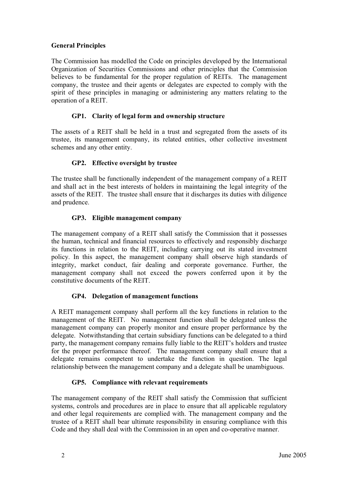# **General Principles**

The Commission has modelled the Code on principles developed by the International Organization of Securities Commissions and other principles that the Commission believes to be fundamental for the proper regulation of REITs. The management company, the trustee and their agents or delegates are expected to comply with the spirit of these principles in managing or administering any matters relating to the operation of a REIT.

# **GP1. Clarity of legal form and ownership structure**

The assets of a REIT shall be held in a trust and segregated from the assets of its trustee, its management company, its related entities, other collective investment schemes and any other entity.

### **GP2. Effective oversight by trustee**

The trustee shall be functionally independent of the management company of a REIT and shall act in the best interests of holders in maintaining the legal integrity of the assets of the REIT. The trustee shall ensure that it discharges its duties with diligence and prudence.

### **GP3. Eligible management company**

The management company of a REIT shall satisfy the Commission that it possesses the human, technical and financial resources to effectively and responsibly discharge its functions in relation to the REIT, including carrying out its stated investment policy. In this aspect, the management company shall observe high standards of integrity, market conduct, fair dealing and corporate governance. Further, the management company shall not exceed the powers conferred upon it by the constitutive documents of the REIT.

# **GP4. Delegation of management functions**

A REIT management company shall perform all the key functions in relation to the management of the REIT. No management function shall be delegated unless the management company can properly monitor and ensure proper performance by the delegate. Notwithstanding that certain subsidiary functions can be delegated to a third party, the management company remains fully liable to the REIT's holders and trustee for the proper performance thereof. The management company shall ensure that a delegate remains competent to undertake the function in question. The legal relationship between the management company and a delegate shall be unambiguous.

#### **GP5. Compliance with relevant requirements**

The management company of the REIT shall satisfy the Commission that sufficient systems, controls and procedures are in place to ensure that all applicable regulatory and other legal requirements are complied with. The management company and the trustee of a REIT shall bear ultimate responsibility in ensuring compliance with this Code and they shall deal with the Commission in an open and co-operative manner.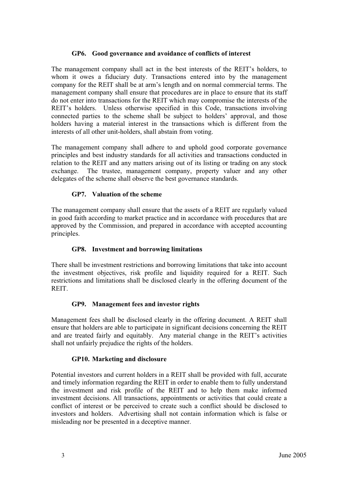#### **GP6. Good governance and avoidance of conflicts of interest**

The management company shall act in the best interests of the REIT's holders, to whom it owes a fiduciary duty. Transactions entered into by the management company for the REIT shall be at arm's length and on normal commercial terms. The management company shall ensure that procedures are in place to ensure that its staff do not enter into transactions for the REIT which may compromise the interests of the REIT's holders. Unless otherwise specified in this Code, transactions involving connected parties to the scheme shall be subject to holders' approval, and those holders having a material interest in the transactions which is different from the interests of all other unit-holders, shall abstain from voting.

The management company shall adhere to and uphold good corporate governance principles and best industry standards for all activities and transactions conducted in relation to the REIT and any matters arising out of its listing or trading on any stock exchange. The trustee, management company, property valuer and any other delegates of the scheme shall observe the best governance standards.

### **GP7. Valuation of the scheme**

The management company shall ensure that the assets of a REIT are regularly valued in good faith according to market practice and in accordance with procedures that are approved by the Commission, and prepared in accordance with accepted accounting principles.

# **GP8. Investment and borrowing limitations**

There shall be investment restrictions and borrowing limitations that take into account the investment objectives, risk profile and liquidity required for a REIT. Such restrictions and limitations shall be disclosed clearly in the offering document of the **REIT.** 

#### **GP9. Management fees and investor rights**

Management fees shall be disclosed clearly in the offering document. A REIT shall ensure that holders are able to participate in significant decisions concerning the REIT and are treated fairly and equitably. Any material change in the REIT's activities shall not unfairly prejudice the rights of the holders.

#### **GP10. Marketing and disclosure**

Potential investors and current holders in a REIT shall be provided with full, accurate and timely information regarding the REIT in order to enable them to fully understand the investment and risk profile of the REIT and to help them make informed investment decisions. All transactions, appointments or activities that could create a conflict of interest or be perceived to create such a conflict should be disclosed to investors and holders. Advertising shall not contain information which is false or misleading nor be presented in a deceptive manner.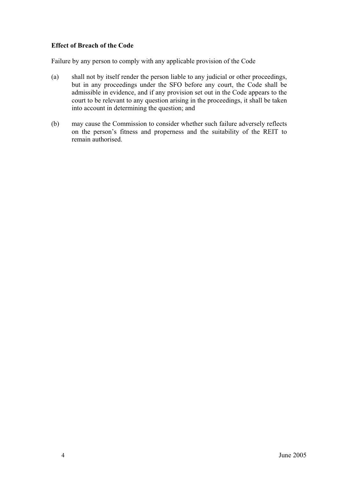# **Effect of Breach of the Code**

Failure by any person to comply with any applicable provision of the Code

- (a) shall not by itself render the person liable to any judicial or other proceedings, but in any proceedings under the SFO before any court, the Code shall be admissible in evidence, and if any provision set out in the Code appears to the court to be relevant to any question arising in the proceedings, it shall be taken into account in determining the question; and
- (b) may cause the Commission to consider whether such failure adversely reflects on the person's fitness and properness and the suitability of the REIT to remain authorised.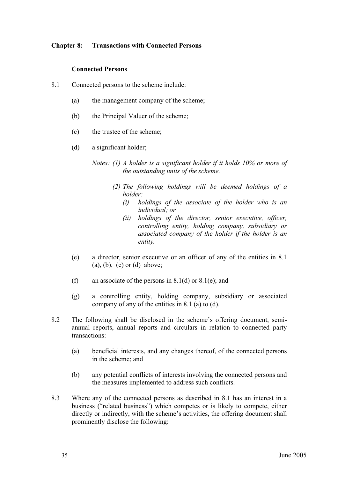#### **Chapter 8: Transactions with Connected Persons**

#### **Connected Persons**

- 8.1 Connected persons to the scheme include:
	- (a) the management company of the scheme;
	- (b) the Principal Valuer of the scheme;
	- (c) the trustee of the scheme;
	- (d) a significant holder;
		- *Notes: (1) A holder is a significant holder if it holds 10% or more of the outstanding units of the scheme.* 
			- *(2) The following holdings will be deemed holdings of a holder:*
				- *(i) holdings of the associate of the holder who is an individual; or*
				- *(ii) holdings of the director, senior executive, officer, controlling entity, holding company, subsidiary or associated company of the holder if the holder is an entity.*
	- (e) a director, senior executive or an officer of any of the entities in 8.1  $(a)$ ,  $(b)$ ,  $(c)$  or  $(d)$  above;
	- (f) an associate of the persons in 8.1(d) or 8.1(e); and
	- (g) a controlling entity, holding company, subsidiary or associated company of any of the entities in 8.1 (a) to (d).
- 8.2 The following shall be disclosed in the scheme's offering document, semiannual reports, annual reports and circulars in relation to connected party transactions:
	- (a) beneficial interests, and any changes thereof, of the connected persons in the scheme; and
	- (b) any potential conflicts of interests involving the connected persons and the measures implemented to address such conflicts.
- 8.3 Where any of the connected persons as described in 8.1 has an interest in a business ("related business") which competes or is likely to compete, either directly or indirectly, with the scheme's activities, the offering document shall prominently disclose the following: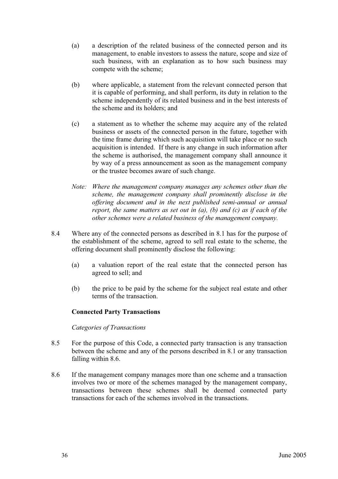- (a) a description of the related business of the connected person and its management, to enable investors to assess the nature, scope and size of such business, with an explanation as to how such business may compete with the scheme;
- (b) where applicable, a statement from the relevant connected person that it is capable of performing, and shall perform, its duty in relation to the scheme independently of its related business and in the best interests of the scheme and its holders; and
- (c) a statement as to whether the scheme may acquire any of the related business or assets of the connected person in the future, together with the time frame during which such acquisition will take place or no such acquisition is intended. If there is any change in such information after the scheme is authorised, the management company shall announce it by way of a press announcement as soon as the management company or the trustee becomes aware of such change.
- *Note: Where the management company manages any schemes other than the scheme, the management company shall prominently disclose in the offering document and in the next published semi-annual or annual report, the same matters as set out in (a), (b) and (c) as if each of the other schemes were a related business of the management company.*
- 8.4 Where any of the connected persons as described in 8.1 has for the purpose of the establishment of the scheme, agreed to sell real estate to the scheme, the offering document shall prominently disclose the following:
	- (a) a valuation report of the real estate that the connected person has agreed to sell; and
	- (b) the price to be paid by the scheme for the subject real estate and other terms of the transaction.

# **Connected Party Transactions**

#### *Categories of Transactions*

- 8.5 For the purpose of this Code, a connected party transaction is any transaction between the scheme and any of the persons described in 8.1 or any transaction falling within 8.6.
- 8.6 If the management company manages more than one scheme and a transaction involves two or more of the schemes managed by the management company, transactions between these schemes shall be deemed connected party transactions for each of the schemes involved in the transactions.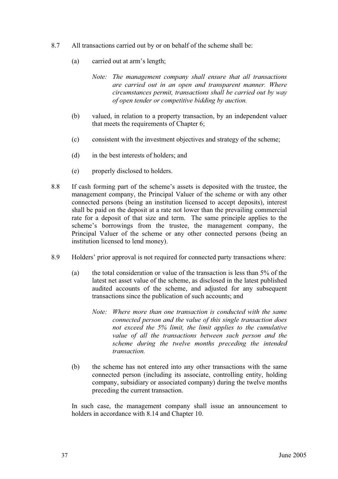- 8.7 All transactions carried out by or on behalf of the scheme shall be:
	- (a) carried out at arm's length;
		- *Note: The management company shall ensure that all transactions are carried out in an open and transparent manner. Where circumstances permit, transactions shall be carried out by way of open tender or competitive bidding by auction.*
	- (b) valued, in relation to a property transaction, by an independent valuer that meets the requirements of Chapter 6;
	- (c) consistent with the investment objectives and strategy of the scheme;
	- (d) in the best interests of holders; and
	- (e) properly disclosed to holders.
- 8.8 If cash forming part of the scheme's assets is deposited with the trustee, the management company, the Principal Valuer of the scheme or with any other connected persons (being an institution licensed to accept deposits), interest shall be paid on the deposit at a rate not lower than the prevailing commercial rate for a deposit of that size and term. The same principle applies to the scheme's borrowings from the trustee, the management company, the Principal Valuer of the scheme or any other connected persons (being an institution licensed to lend money).
- 8.9 Holders' prior approval is not required for connected party transactions where:
	- (a) the total consideration or value of the transaction is less than 5% of the latest net asset value of the scheme, as disclosed in the latest published audited accounts of the scheme, and adjusted for any subsequent transactions since the publication of such accounts; and
		- *Note: Where more than one transaction is conducted with the same connected person and the value of this single transaction does not exceed the 5% limit, the limit applies to the cumulative value of all the transactions between such person and the scheme during the twelve months preceding the intended transaction.*
	- (b) the scheme has not entered into any other transactions with the same connected person (including its associate, controlling entity, holding company, subsidiary or associated company) during the twelve months preceding the current transaction.

In such case, the management company shall issue an announcement to holders in accordance with 8.14 and Chapter 10.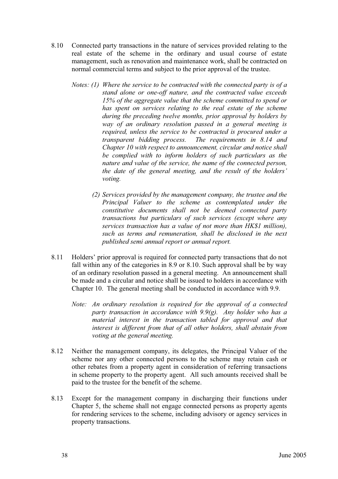- 8.10 Connected party transactions in the nature of services provided relating to the real estate of the scheme in the ordinary and usual course of estate management, such as renovation and maintenance work, shall be contracted on normal commercial terms and subject to the prior approval of the trustee.
	- *Notes: (1) Where the service to be contracted with the connected party is of a stand alone or one-off nature, and the contracted value exceeds 15% of the aggregate value that the scheme committed to spend or has spent on services relating to the real estate of the scheme during the preceding twelve months, prior approval by holders by way of an ordinary resolution passed in a general meeting is required, unless the service to be contracted is procured under a transparent bidding process. The requirements in 8.14 and Chapter 10 with respect to announcement, circular and notice shall be complied with to inform holders of such particulars as the nature and value of the service, the name of the connected person, the date of the general meeting, and the result of the holders' voting.*
		- *(2) Services provided by the management company, the trustee and the Principal Valuer to the scheme as contemplated under the constitutive documents shall not be deemed connected party transactions but particulars of such services (except where any services transaction has a value of not more than HK\$1 million), such as terms and remuneration, shall be disclosed in the next published semi annual report or annual report.*
- 8.11 Holders' prior approval is required for connected party transactions that do not fall within any of the categories in 8.9 or 8.10. Such approval shall be by way of an ordinary resolution passed in a general meeting. An announcement shall be made and a circular and notice shall be issued to holders in accordance with Chapter 10. The general meeting shall be conducted in accordance with 9.9.
	- *Note: An ordinary resolution is required for the approval of a connected party transaction in accordance with 9.9(g). Any holder who has a material interest in the transaction tabled for approval and that interest is different from that of all other holders, shall abstain from voting at the general meeting.*
- 8.12 Neither the management company, its delegates, the Principal Valuer of the scheme nor any other connected persons to the scheme may retain cash or other rebates from a property agent in consideration of referring transactions in scheme property to the property agent. All such amounts received shall be paid to the trustee for the benefit of the scheme.
- 8.13 Except for the management company in discharging their functions under Chapter 5, the scheme shall not engage connected persons as property agents for rendering services to the scheme, including advisory or agency services in property transactions.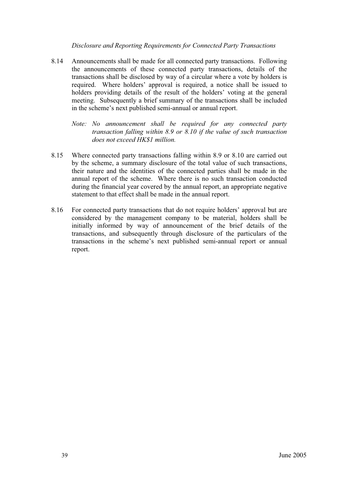#### *Disclosure and Reporting Requirements for Connected Party Transactions*

- 8.14 Announcements shall be made for all connected party transactions. Following the announcements of these connected party transactions, details of the transactions shall be disclosed by way of a circular where a vote by holders is required. Where holders' approval is required, a notice shall be issued to holders providing details of the result of the holders' voting at the general meeting. Subsequently a brief summary of the transactions shall be included in the scheme's next published semi-annual or annual report.
	- *Note: No announcement shall be required for any connected party transaction falling within 8.9 or 8.10 if the value of such transaction does not exceed HK\$1 million.*
- 8.15 Where connected party transactions falling within 8.9 or 8.10 are carried out by the scheme, a summary disclosure of the total value of such transactions, their nature and the identities of the connected parties shall be made in the annual report of the scheme. Where there is no such transaction conducted during the financial year covered by the annual report, an appropriate negative statement to that effect shall be made in the annual report.
- 8.16 For connected party transactions that do not require holders' approval but are considered by the management company to be material, holders shall be initially informed by way of announcement of the brief details of the transactions, and subsequently through disclosure of the particulars of the transactions in the scheme's next published semi-annual report or annual report.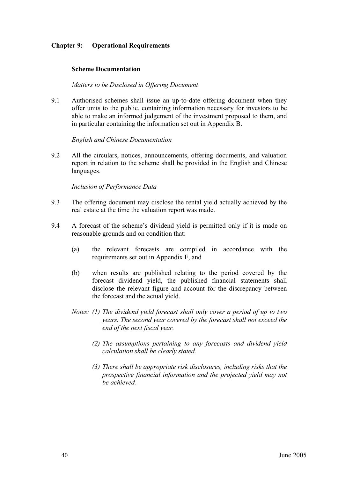### **Chapter 9: Operational Requirements**

#### **Scheme Documentation**

#### *Matters to be Disclosed in Offering Document*

9.1 Authorised schemes shall issue an up-to-date offering document when they offer units to the public, containing information necessary for investors to be able to make an informed judgement of the investment proposed to them, and in particular containing the information set out in Appendix B.

#### *English and Chinese Documentation*

9.2 All the circulars, notices, announcements, offering documents, and valuation report in relation to the scheme shall be provided in the English and Chinese languages.

#### *Inclusion of Performance Data*

- 9.3 The offering document may disclose the rental yield actually achieved by the real estate at the time the valuation report was made.
- 9.4 A forecast of the scheme's dividend yield is permitted only if it is made on reasonable grounds and on condition that:
	- (a) the relevant forecasts are compiled in accordance with the requirements set out in Appendix F, and
	- (b) when results are published relating to the period covered by the forecast dividend yield, the published financial statements shall disclose the relevant figure and account for the discrepancy between the forecast and the actual yield.
	- *Notes: (1) The dividend yield forecast shall only cover a period of up to two years. The second year covered by the forecast shall not exceed the end of the next fiscal year.*
		- *(2) The assumptions pertaining to any forecasts and dividend yield calculation shall be clearly stated.*
		- *(3) There shall be appropriate risk disclosures, including risks that the prospective financial information and the projected yield may not be achieved.*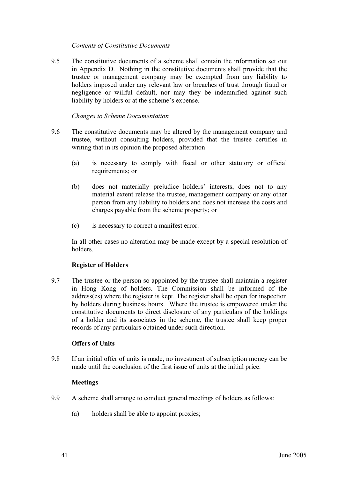### *Contents of Constitutive Documents*

9.5 The constitutive documents of a scheme shall contain the information set out in Appendix D. Nothing in the constitutive documents shall provide that the trustee or management company may be exempted from any liability to holders imposed under any relevant law or breaches of trust through fraud or negligence or willful default, nor may they be indemnified against such liability by holders or at the scheme's expense.

#### *Changes to Scheme Documentation*

- 9.6 The constitutive documents may be altered by the management company and trustee, without consulting holders, provided that the trustee certifies in writing that in its opinion the proposed alteration:
	- (a) is necessary to comply with fiscal or other statutory or official requirements; or
	- (b) does not materially prejudice holders' interests, does not to any material extent release the trustee, management company or any other person from any liability to holders and does not increase the costs and charges payable from the scheme property; or
	- (c) is necessary to correct a manifest error.

In all other cases no alteration may be made except by a special resolution of holders.

#### **Register of Holders**

9.7 The trustee or the person so appointed by the trustee shall maintain a register in Hong Kong of holders. The Commission shall be informed of the address(es) where the register is kept. The register shall be open for inspection by holders during business hours. Where the trustee is empowered under the constitutive documents to direct disclosure of any particulars of the holdings of a holder and its associates in the scheme, the trustee shall keep proper records of any particulars obtained under such direction.

#### **Offers of Units**

9.8 If an initial offer of units is made, no investment of subscription money can be made until the conclusion of the first issue of units at the initial price.

#### **Meetings**

- 9.9 A scheme shall arrange to conduct general meetings of holders as follows:
	- (a) holders shall be able to appoint proxies;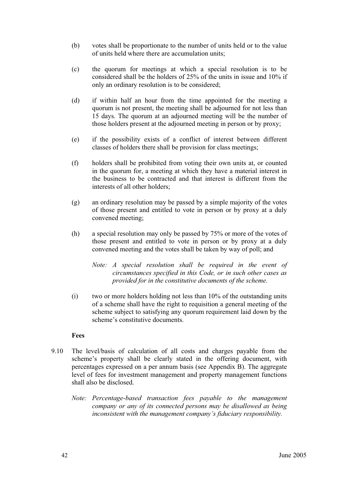- (b) votes shall be proportionate to the number of units held or to the value of units held where there are accumulation units;
- (c) the quorum for meetings at which a special resolution is to be considered shall be the holders of 25% of the units in issue and 10% if only an ordinary resolution is to be considered;
- (d) if within half an hour from the time appointed for the meeting a quorum is not present, the meeting shall be adjourned for not less than 15 days. The quorum at an adjourned meeting will be the number of those holders present at the adjourned meeting in person or by proxy;
- (e) if the possibility exists of a conflict of interest between different classes of holders there shall be provision for class meetings;
- (f) holders shall be prohibited from voting their own units at, or counted in the quorum for, a meeting at which they have a material interest in the business to be contracted and that interest is different from the interests of all other holders;
- (g) an ordinary resolution may be passed by a simple majority of the votes of those present and entitled to vote in person or by proxy at a duly convened meeting;
- (h) a special resolution may only be passed by 75% or more of the votes of those present and entitled to vote in person or by proxy at a duly convened meeting and the votes shall be taken by way of poll; and
	- *Note: A special resolution shall be required in the event of circumstances specified in this Code, or in such other cases as provided for in the constitutive documents of the scheme.*
- (i) two or more holders holding not less than 10% of the outstanding units of a scheme shall have the right to requisition a general meeting of the scheme subject to satisfying any quorum requirement laid down by the scheme's constitutive documents.

# **Fees**

- 9.10 The level/basis of calculation of all costs and charges payable from the scheme's property shall be clearly stated in the offering document, with percentages expressed on a per annum basis (see Appendix B). The aggregate level of fees for investment management and property management functions shall also be disclosed.
	- *Note: Percentage-based transaction fees payable to the management company or any of its connected persons may be disallowed as being inconsistent with the management company's fiduciary responsibility.*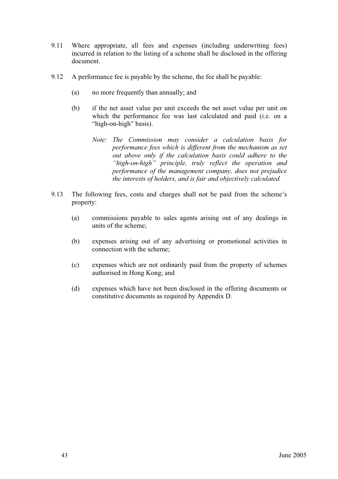- 9.11 Where appropriate, all fees and expenses (including underwriting fees) incurred in relation to the listing of a scheme shall be disclosed in the offering document.
- 9.12 A performance fee is payable by the scheme, the fee shall be payable:
	- (a) no more frequently than annually; and
	- (b) if the net asset value per unit exceeds the net asset value per unit on which the performance fee was last calculated and paid (i.e. on a "high-on-high" basis).
		- *Note: The Commission may consider a calculation basis for performance fees which is different from the mechanism as set out above only if the calculation basis could adhere to the "high-on-high" principle, truly reflect the operation and performance of the management company, does not prejudice the interests of holders, and is fair and objectively calculated.*
- 9.13 The following fees, costs and charges shall not be paid from the scheme's property:
	- (a) commissions payable to sales agents arising out of any dealings in units of the scheme;
	- (b) expenses arising out of any advertising or promotional activities in connection with the scheme;
	- (c) expenses which are not ordinarily paid from the property of schemes authorised in Hong Kong; and
	- (d) expenses which have not been disclosed in the offering documents or constitutive documents as required by Appendix D.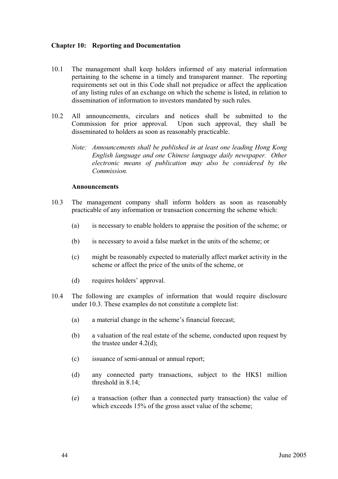#### **Chapter 10: Reporting and Documentation**

- 10.1 The management shall keep holders informed of any material information pertaining to the scheme in a timely and transparent manner. The reporting requirements set out in this Code shall not prejudice or affect the application of any listing rules of an exchange on which the scheme is listed, in relation to dissemination of information to investors mandated by such rules.
- 10.2 All announcements, circulars and notices shall be submitted to the Commission for prior approval. Upon such approval, they shall be disseminated to holders as soon as reasonably practicable.
	- *Note: Announcements shall be published in at least one leading Hong Kong English language and one Chinese language daily newspaper. Other electronic means of publication may also be considered by the Commission.*

#### **Announcements**

- 10.3 The management company shall inform holders as soon as reasonably practicable of any information or transaction concerning the scheme which:
	- (a) is necessary to enable holders to appraise the position of the scheme; or
	- (b) is necessary to avoid a false market in the units of the scheme; or
	- (c) might be reasonably expected to materially affect market activity in the scheme or affect the price of the units of the scheme, or
	- (d) requires holders' approval.
- 10.4 The following are examples of information that would require disclosure under 10.3. These examples do not constitute a complete list:
	- (a) a material change in the scheme's financial forecast;
	- (b) a valuation of the real estate of the scheme, conducted upon request by the trustee under 4.2(d);
	- (c) issuance of semi-annual or annual report;
	- (d) any connected party transactions, subject to the HK\$1 million threshold in 8.14;
	- (e) a transaction (other than a connected party transaction) the value of which exceeds 15% of the gross asset value of the scheme;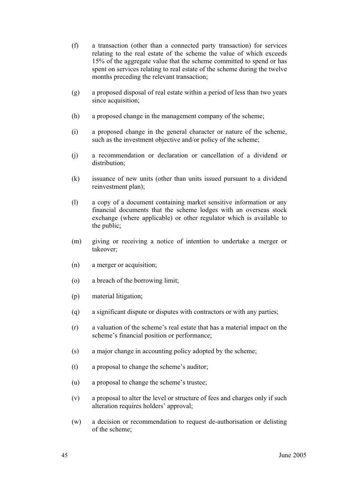- (f) a transaction (other than a connected party transaction) for services relating to the real estate of the scheme the value of which exceeds 15% of the aggregate value that the scheme committed to spend or has spent on services relating to real estate of the scheme during the twelve months preceding the relevant transaction;
- (g) a proposed disposal of real estate within a period of less than two years since acquisition;
- (h) a proposed change in the management company of the scheme;
- (i) a proposed change in the general character or nature of the scheme, such as the investment objective and/or policy of the scheme;
- (j) a recommendation or declaration or cancellation of a dividend or distribution;
- (k) issuance of new units (other than units issued pursuant to a dividend reinvestment plan);
- (l) a copy of a document containing market sensitive information or any financial documents that the scheme lodges with an overseas stock exchange (where applicable) or other regulator which is available to the public;
- (m) giving or receiving a notice of intention to undertake a merger or takeover;
- (n) a merger or acquisition;
- (o) a breach of the borrowing limit;
- (p) material litigation;
- (q) a significant dispute or disputes with contractors or with any parties;
- (r) a valuation of the scheme's real estate that has a material impact on the scheme's financial position or performance;
- (s) a major change in accounting policy adopted by the scheme;
- (t) a proposal to change the scheme's auditor;
- (u) a proposal to change the scheme's trustee;
- (v) a proposal to alter the level or structure of fees and charges only if such alteration requires holders' approval;
- (w) a decision or recommendation to request de-authorisation or delisting of the scheme;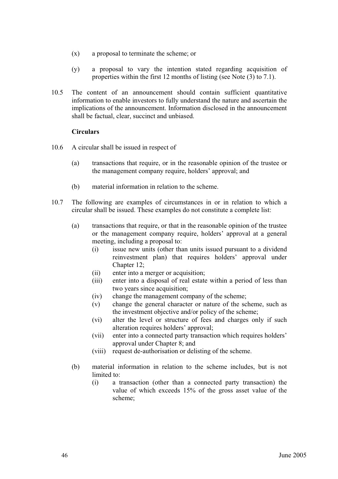- (x) a proposal to terminate the scheme; or
- (y) a proposal to vary the intention stated regarding acquisition of properties within the first 12 months of listing (see Note (3) to 7.1).
- 10.5 The content of an announcement should contain sufficient quantitative information to enable investors to fully understand the nature and ascertain the implications of the announcement. Information disclosed in the announcement shall be factual, clear, succinct and unbiased.

#### **Circulars**

- 10.6 A circular shall be issued in respect of
	- (a) transactions that require, or in the reasonable opinion of the trustee or the management company require, holders' approval; and
	- (b) material information in relation to the scheme.
- 10.7 The following are examples of circumstances in or in relation to which a circular shall be issued. These examples do not constitute a complete list:
	- (a) transactions that require, or that in the reasonable opinion of the trustee or the management company require, holders' approval at a general meeting, including a proposal to:
		- (i) issue new units (other than units issued pursuant to a dividend reinvestment plan) that requires holders' approval under Chapter 12;
		- (ii) enter into a merger or acquisition;
		- (iii) enter into a disposal of real estate within a period of less than two years since acquisition;
		- (iv) change the management company of the scheme;
		- (v) change the general character or nature of the scheme, such as the investment objective and/or policy of the scheme;
		- (vi) alter the level or structure of fees and charges only if such alteration requires holders' approval;
		- (vii) enter into a connected party transaction which requires holders' approval under Chapter 8; and
		- (viii) request de-authorisation or delisting of the scheme.
	- (b) material information in relation to the scheme includes, but is not limited to:
		- (i) a transaction (other than a connected party transaction) the value of which exceeds 15% of the gross asset value of the scheme;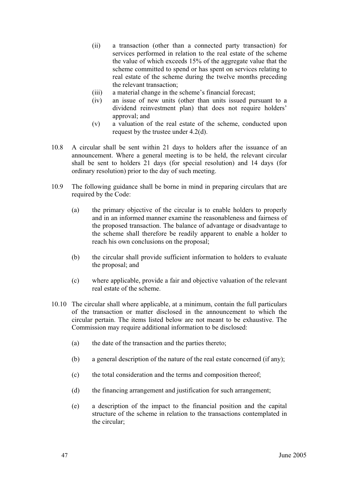- (ii) a transaction (other than a connected party transaction) for services performed in relation to the real estate of the scheme the value of which exceeds 15% of the aggregate value that the scheme committed to spend or has spent on services relating to real estate of the scheme during the twelve months preceding the relevant transaction;
- (iii) a material change in the scheme's financial forecast;
- (iv) an issue of new units (other than units issued pursuant to a dividend reinvestment plan) that does not require holders' approval; and
- (v) a valuation of the real estate of the scheme, conducted upon request by the trustee under 4.2(d).
- 10.8 A circular shall be sent within 21 days to holders after the issuance of an announcement. Where a general meeting is to be held, the relevant circular shall be sent to holders 21 days (for special resolution) and 14 days (for ordinary resolution) prior to the day of such meeting.
- 10.9 The following guidance shall be borne in mind in preparing circulars that are required by the Code:
	- (a) the primary objective of the circular is to enable holders to properly and in an informed manner examine the reasonableness and fairness of the proposed transaction. The balance of advantage or disadvantage to the scheme shall therefore be readily apparent to enable a holder to reach his own conclusions on the proposal;
	- (b) the circular shall provide sufficient information to holders to evaluate the proposal; and
	- (c) where applicable, provide a fair and objective valuation of the relevant real estate of the scheme.
- 10.10 The circular shall where applicable, at a minimum, contain the full particulars of the transaction or matter disclosed in the announcement to which the circular pertain. The items listed below are not meant to be exhaustive. The Commission may require additional information to be disclosed:
	- (a) the date of the transaction and the parties thereto;
	- (b) a general description of the nature of the real estate concerned (if any);
	- (c) the total consideration and the terms and composition thereof;
	- (d) the financing arrangement and justification for such arrangement;
	- (e) a description of the impact to the financial position and the capital structure of the scheme in relation to the transactions contemplated in the circular;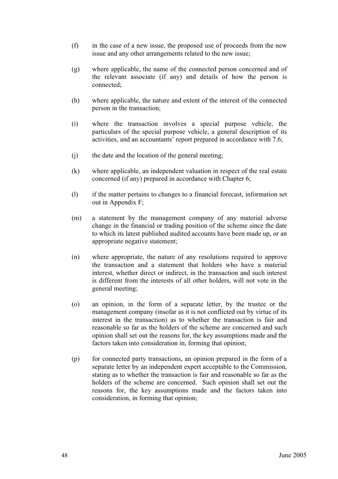- (f) in the case of a new issue, the proposed use of proceeds from the new issue and any other arrangements related to the new issue;
- (g) where applicable, the name of the connected person concerned and of the relevant associate (if any) and details of how the person is connected;
- (h) where applicable, the nature and extent of the interest of the connected person in the transaction;
- (i) where the transaction involves a special purpose vehicle, the particulars of the special purpose vehicle, a general description of its activities, and an accountants' report prepared in accordance with 7.6;
- (j) the date and the location of the general meeting;
- (k) where applicable, an independent valuation in respect of the real estate concerned (if any) prepared in accordance with Chapter 6;
- (l) if the matter pertains to changes to a financial forecast, information set out in Appendix F;
- (m) a statement by the management company of any material adverse change in the financial or trading position of the scheme since the date to which its latest published audited accounts have been made up, or an appropriate negative statement;
- (n) where appropriate, the nature of any resolutions required to approve the transaction and a statement that holders who have a material interest, whether direct or indirect, in the transaction and such interest is different from the interests of all other holders, will not vote in the general meeting;
- (o) an opinion, in the form of a separate letter, by the trustee or the management company (insofar as it is not conflicted out by virtue of its interest in the transaction) as to whether the transaction is fair and reasonable so far as the holders of the scheme are concerned and such opinion shall set out the reasons for, the key assumptions made and the factors taken into consideration in, forming that opinion;
- (p) for connected party transactions, an opinion prepared in the form of a separate letter by an independent expert acceptable to the Commission, stating as to whether the transaction is fair and reasonable so far as the holders of the scheme are concerned. Such opinion shall set out the reasons for, the key assumptions made and the factors taken into consideration, in forming that opinion;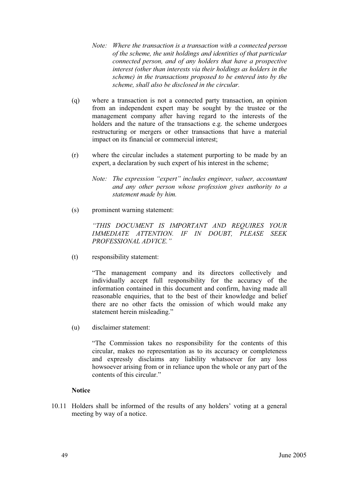- *Note: Where the transaction is a transaction with a connected person of the scheme, the unit holdings and identities of that particular connected person, and of any holders that have a prospective interest (other than interests via their holdings as holders in the scheme) in the transactions proposed to be entered into by the scheme, shall also be disclosed in the circular.*
- (q) where a transaction is not a connected party transaction, an opinion from an independent expert may be sought by the trustee or the management company after having regard to the interests of the holders and the nature of the transactions e.g. the scheme undergoes restructuring or mergers or other transactions that have a material impact on its financial or commercial interest;
- (r) where the circular includes a statement purporting to be made by an expert, a declaration by such expert of his interest in the scheme;
	- *Note: The expression "expert" includes engineer, valuer, accountant and any other person whose profession gives authority to a statement made by him.*
- (s) prominent warning statement:

*"THIS DOCUMENT IS IMPORTANT AND REQUIRES YOUR IMMEDIATE ATTENTION. IF IN DOUBT, PLEASE SEEK PROFESSIONAL ADVICE."*

(t) responsibility statement:

 "The management company and its directors collectively and individually accept full responsibility for the accuracy of the information contained in this document and confirm, having made all reasonable enquiries, that to the best of their knowledge and belief there are no other facts the omission of which would make any statement herein misleading."

(u) disclaimer statement:

 "The Commission takes no responsibility for the contents of this circular, makes no representation as to its accuracy or completeness and expressly disclaims any liability whatsoever for any loss howsoever arising from or in reliance upon the whole or any part of the contents of this circular."

#### **Notice**

10.11 Holders shall be informed of the results of any holders' voting at a general meeting by way of a notice.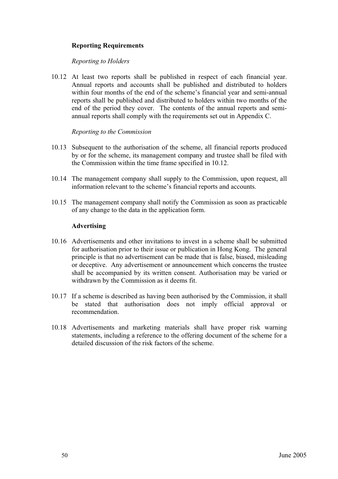# **Reporting Requirements**

#### *Reporting to Holders*

10.12 At least two reports shall be published in respect of each financial year. Annual reports and accounts shall be published and distributed to holders within four months of the end of the scheme's financial year and semi-annual reports shall be published and distributed to holders within two months of the end of the period they cover. The contents of the annual reports and semiannual reports shall comply with the requirements set out in Appendix C.

### *Reporting to the Commission*

- 10.13 Subsequent to the authorisation of the scheme, all financial reports produced by or for the scheme, its management company and trustee shall be filed with the Commission within the time frame specified in 10.12.
- 10.14 The management company shall supply to the Commission, upon request, all information relevant to the scheme's financial reports and accounts.
- 10.15 The management company shall notify the Commission as soon as practicable of any change to the data in the application form.

### **Advertising**

- 10.16 Advertisements and other invitations to invest in a scheme shall be submitted for authorisation prior to their issue or publication in Hong Kong. The general principle is that no advertisement can be made that is false, biased, misleading or deceptive. Any advertisement or announcement which concerns the trustee shall be accompanied by its written consent. Authorisation may be varied or withdrawn by the Commission as it deems fit.
- 10.17 If a scheme is described as having been authorised by the Commission, it shall be stated that authorisation does not imply official approval or recommendation.
- 10.18 Advertisements and marketing materials shall have proper risk warning statements, including a reference to the offering document of the scheme for a detailed discussion of the risk factors of the scheme.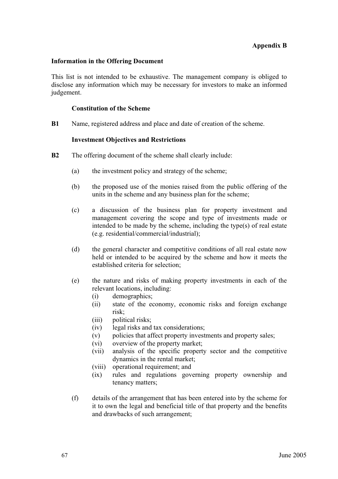# **Appendix B**

#### **Information in the Offering Document**

This list is not intended to be exhaustive. The management company is obliged to disclose any information which may be necessary for investors to make an informed judgement.

#### **Constitution of the Scheme**

**B1** Name, registered address and place and date of creation of the scheme.

#### **Investment Objectives and Restrictions**

- **B2** The offering document of the scheme shall clearly include:
	- (a) the investment policy and strategy of the scheme;
	- (b) the proposed use of the monies raised from the public offering of the units in the scheme and any business plan for the scheme;
	- (c) a discussion of the business plan for property investment and management covering the scope and type of investments made or intended to be made by the scheme, including the type(s) of real estate (e.g. residential/commercial/industrial);
	- (d) the general character and competitive conditions of all real estate now held or intended to be acquired by the scheme and how it meets the established criteria for selection;
	- (e) the nature and risks of making property investments in each of the relevant locations, including:
		- (i) demographics;
		- (ii) state of the economy, economic risks and foreign exchange risk;
		- (iii) political risks;
		- (iv) legal risks and tax considerations;
		- (v) policies that affect property investments and property sales;
		- (vi) overview of the property market;
		- (vii) analysis of the specific property sector and the competitive dynamics in the rental market;
		- (viii) operational requirement; and
		- (ix) rules and regulations governing property ownership and tenancy matters;
	- (f) details of the arrangement that has been entered into by the scheme for it to own the legal and beneficial title of that property and the benefits and drawbacks of such arrangement;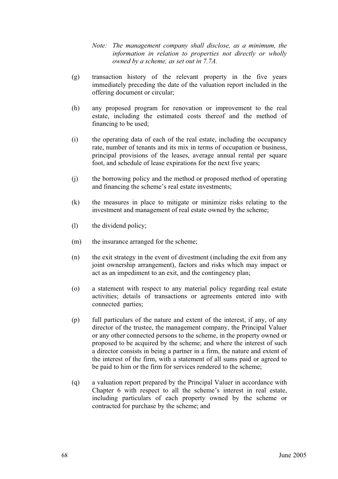- *Note: The management company shall disclose, as a minimum, the information in relation to properties not directly or wholly owned by a scheme, as set out in 7.7A.*
- (g) transaction history of the relevant property in the five years immediately preceding the date of the valuation report included in the offering document or circular;
- (h) any proposed program for renovation or improvement to the real estate, including the estimated costs thereof and the method of financing to be used;
- (i) the operating data of each of the real estate, including the occupancy rate, number of tenants and its mix in terms of occupation or business, principal provisions of the leases, average annual rental per square foot, and schedule of lease expirations for the next five years;
- (j) the borrowing policy and the method or proposed method of operating and financing the scheme's real estate investments;
- (k) the measures in place to mitigate or minimize risks relating to the investment and management of real estate owned by the scheme;
- (l) the dividend policy;
- (m) the insurance arranged for the scheme;
- (n) the exit strategy in the event of divestment (including the exit from any joint ownership arrangement), factors and risks which may impact or act as an impediment to an exit, and the contingency plan;
- (o) a statement with respect to any material policy regarding real estate activities; details of transactions or agreements entered into with connected parties;
- (p) full particulars of the nature and extent of the interest, if any, of any director of the trustee, the management company, the Principal Valuer or any other connected persons to the scheme, in the property owned or proposed to be acquired by the scheme; and where the interest of such a director consists in being a partner in a firm, the nature and extent of the interest of the firm, with a statement of all sums paid or agreed to be paid to him or the firm for services rendered to the scheme;
- (q) a valuation report prepared by the Principal Valuer in accordance with Chapter 6 with respect to all the scheme's interest in real estate, including particulars of each property owned by the scheme or contracted for purchase by the scheme; and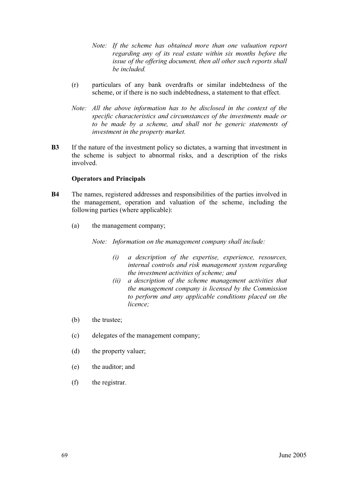- *Note: If the scheme has obtained more than one valuation report regarding any of its real estate within six months before the issue of the offering document, then all other such reports shall be included.*
- (r) particulars of any bank overdrafts or similar indebtedness of the scheme, or if there is no such indebtedness, a statement to that effect.
- *Note: All the above information has to be disclosed in the context of the specific characteristics and circumstances of the investments made or to be made by a scheme, and shall not be generic statements of investment in the property market.*
- **B3** If the nature of the investment policy so dictates, a warning that investment in the scheme is subject to abnormal risks, and a description of the risks involved.

### **Operators and Principals**

- **B4** The names, registered addresses and responsibilities of the parties involved in the management, operation and valuation of the scheme, including the following parties (where applicable):
	- (a) the management company;

*Note: Information on the management company shall include:* 

- *(i) a description of the expertise, experience, resources, internal controls and risk management system regarding the investment activities of scheme; and*
- *(ii) a description of the scheme management activities that the management company is licensed by the Commission to perform and any applicable conditions placed on the licence;*
- (b) the trustee;
- (c) delegates of the management company;
- (d) the property valuer;
- (e) the auditor; and
- (f) the registrar.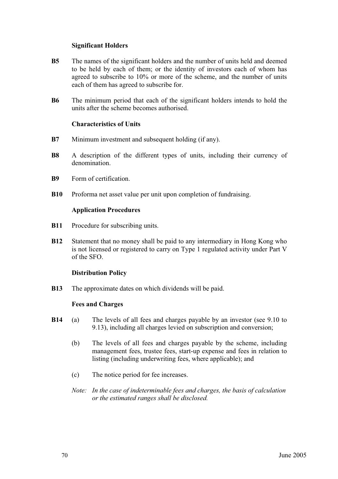#### **Significant Holders**

- **B5** The names of the significant holders and the number of units held and deemed to be held by each of them; or the identity of investors each of whom has agreed to subscribe to 10% or more of the scheme, and the number of units each of them has agreed to subscribe for.
- **B6** The minimum period that each of the significant holders intends to hold the units after the scheme becomes authorised.

#### **Characteristics of Units**

- **B7** Minimum investment and subsequent holding (if any).
- **B8** A description of the different types of units, including their currency of denomination.
- **B9** Form of certification.
- **B10** Proforma net asset value per unit upon completion of fundraising.

#### **Application Procedures**

- **B11** Procedure for subscribing units.
- **B12** Statement that no money shall be paid to any intermediary in Hong Kong who is not licensed or registered to carry on Type 1 regulated activity under Part V of the SFO.

#### **Distribution Policy**

**B13** The approximate dates on which dividends will be paid.

#### **Fees and Charges**

- **B14** (a) The levels of all fees and charges payable by an investor (see 9.10 to 9.13), including all charges levied on subscription and conversion;
	- (b) The levels of all fees and charges payable by the scheme, including management fees, trustee fees, start-up expense and fees in relation to listing (including underwriting fees, where applicable); and
	- (c) The notice period for fee increases.
	- *Note: In the case of indeterminable fees and charges, the basis of calculation or the estimated ranges shall be disclosed.*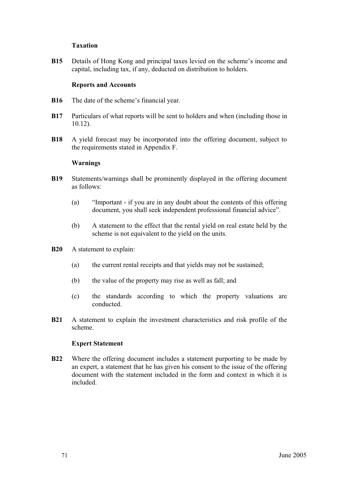# **Taxation**

**B15** Details of Hong Kong and principal taxes levied on the scheme's income and capital, including tax, if any, deducted on distribution to holders.

#### **Reports and Accounts**

- **B16** The date of the scheme's financial year.
- **B17** Particulars of what reports will be sent to holders and when (including those in 10.12).
- **B18** A yield forecast may be incorporated into the offering document, subject to the requirements stated in Appendix F.

#### **Warnings**

- **B19** Statements/warnings shall be prominently displayed in the offering document as follows:
	- (a) "Important if you are in any doubt about the contents of this offering document, you shall seek independent professional financial advice".
	- (b) A statement to the effect that the rental yield on real estate held by the scheme is not equivalent to the yield on the units.
- **B20** A statement to explain:
	- (a) the current rental receipts and that yields may not be sustained;
	- (b) the value of the property may rise as well as fall; and
	- (c) the standards according to which the property valuations are conducted.
- **B21** A statement to explain the investment characteristics and risk profile of the scheme.

#### **Expert Statement**

**B22** Where the offering document includes a statement purporting to be made by an expert, a statement that he has given his consent to the issue of the offering document with the statement included in the form and context in which it is included.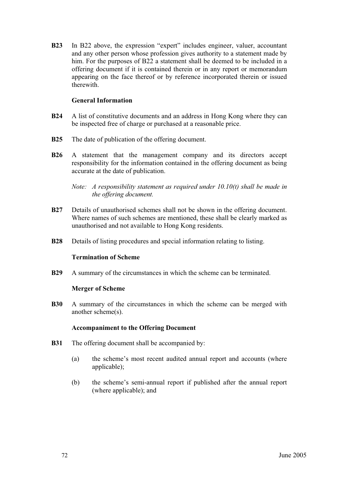**B23** In B22 above, the expression "expert" includes engineer, valuer, accountant and any other person whose profession gives authority to a statement made by him. For the purposes of B22 a statement shall be deemed to be included in a offering document if it is contained therein or in any report or memorandum appearing on the face thereof or by reference incorporated therein or issued therewith.

#### **General Information**

- **B24** A list of constitutive documents and an address in Hong Kong where they can be inspected free of charge or purchased at a reasonable price.
- **B25** The date of publication of the offering document.
- **B26** A statement that the management company and its directors accept responsibility for the information contained in the offering document as being accurate at the date of publication.

*Note: A responsibility statement as required under 10.10(t) shall be made in the offering document.* 

- **B27** Details of unauthorised schemes shall not be shown in the offering document. Where names of such schemes are mentioned, these shall be clearly marked as unauthorised and not available to Hong Kong residents.
- **B28** Details of listing procedures and special information relating to listing.

#### **Termination of Scheme**

**B29** A summary of the circumstances in which the scheme can be terminated.

#### **Merger of Scheme**

**B30** A summary of the circumstances in which the scheme can be merged with another scheme(s).

#### **Accompaniment to the Offering Document**

- **B31** The offering document shall be accompanied by:
	- (a) the scheme's most recent audited annual report and accounts (where applicable);
	- (b) the scheme's semi-annual report if published after the annual report (where applicable); and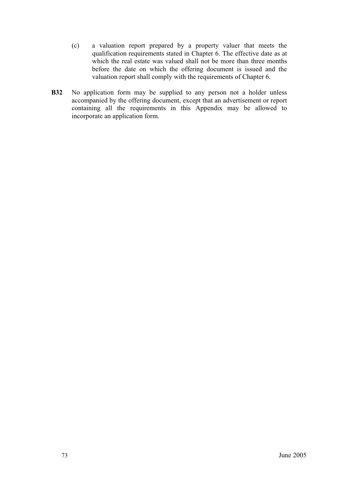- (c) a valuation report prepared by a property valuer that meets the qualification requirements stated in Chapter 6. The effective date as at which the real estate was valued shall not be more than three months before the date on which the offering document is issued and the valuation report shall comply with the requirements of Chapter 6.
- **B32** No application form may be supplied to any person not a holder unless accompanied by the offering document, except that an advertisement or report containing all the requirements in this Appendix may be allowed to incorporate an application form.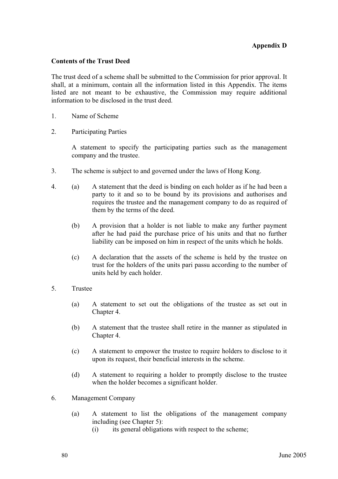#### **Contents of the Trust Deed**

The trust deed of a scheme shall be submitted to the Commission for prior approval. It shall, at a minimum, contain all the information listed in this Appendix. The items listed are not meant to be exhaustive, the Commission may require additional information to be disclosed in the trust deed.

- 1. Name of Scheme
- 2. Participating Parties

 A statement to specify the participating parties such as the management company and the trustee.

- 3. The scheme is subject to and governed under the laws of Hong Kong.
- 4. (a) A statement that the deed is binding on each holder as if he had been a party to it and so to be bound by its provisions and authorises and requires the trustee and the management company to do as required of them by the terms of the deed.
	- (b) A provision that a holder is not liable to make any further payment after he had paid the purchase price of his units and that no further liability can be imposed on him in respect of the units which he holds.
	- (c) A declaration that the assets of the scheme is held by the trustee on trust for the holders of the units pari passu according to the number of units held by each holder.
- 5. Trustee
	- (a) A statement to set out the obligations of the trustee as set out in Chapter 4.
	- (b) A statement that the trustee shall retire in the manner as stipulated in Chapter 4.
	- (c) A statement to empower the trustee to require holders to disclose to it upon its request, their beneficial interests in the scheme.
	- (d) A statement to requiring a holder to promptly disclose to the trustee when the holder becomes a significant holder.
- 6. Management Company
	- (a) A statement to list the obligations of the management company including (see Chapter 5):
		- (i) its general obligations with respect to the scheme;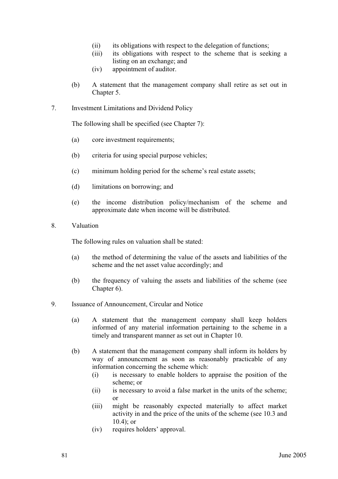- (ii) its obligations with respect to the delegation of functions;
- (iii) its obligations with respect to the scheme that is seeking a listing on an exchange; and
- (iv) appointment of auditor.
- (b) A statement that the management company shall retire as set out in Chapter 5.
- 7. Investment Limitations and Dividend Policy

The following shall be specified (see Chapter 7):

- (a) core investment requirements;
- (b) criteria for using special purpose vehicles;
- (c) minimum holding period for the scheme's real estate assets;
- (d) limitations on borrowing; and
- (e) the income distribution policy/mechanism of the scheme and approximate date when income will be distributed.
- 8. Valuation

The following rules on valuation shall be stated:

- (a) the method of determining the value of the assets and liabilities of the scheme and the net asset value accordingly; and
- (b) the frequency of valuing the assets and liabilities of the scheme (see Chapter 6).
- 9. Issuance of Announcement, Circular and Notice
	- (a) A statement that the management company shall keep holders informed of any material information pertaining to the scheme in a timely and transparent manner as set out in Chapter 10.
	- (b) A statement that the management company shall inform its holders by way of announcement as soon as reasonably practicable of any information concerning the scheme which:
		- (i) is necessary to enable holders to appraise the position of the scheme; or
		- (ii) is necessary to avoid a false market in the units of the scheme; or
		- (iii) might be reasonably expected materially to affect market activity in and the price of the units of the scheme (see 10.3 and 10.4); or
		- (iv) requires holders' approval.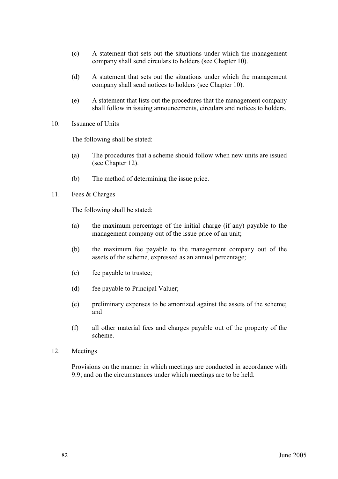- (c) A statement that sets out the situations under which the management company shall send circulars to holders (see Chapter 10).
- (d) A statement that sets out the situations under which the management company shall send notices to holders (see Chapter 10).
- (e) A statement that lists out the procedures that the management company shall follow in issuing announcements, circulars and notices to holders.
- 10. Issuance of Units

The following shall be stated:

- (a) The procedures that a scheme should follow when new units are issued (see Chapter 12).
- (b) The method of determining the issue price.
- 11. Fees & Charges

The following shall be stated:

- (a) the maximum percentage of the initial charge (if any) payable to the management company out of the issue price of an unit;
- (b) the maximum fee payable to the management company out of the assets of the scheme, expressed as an annual percentage;
- (c) fee payable to trustee;
- (d) fee payable to Principal Valuer;
- (e) preliminary expenses to be amortized against the assets of the scheme; and
- (f) all other material fees and charges payable out of the property of the scheme.
- 12. Meetings

 Provisions on the manner in which meetings are conducted in accordance with 9.9; and on the circumstances under which meetings are to be held.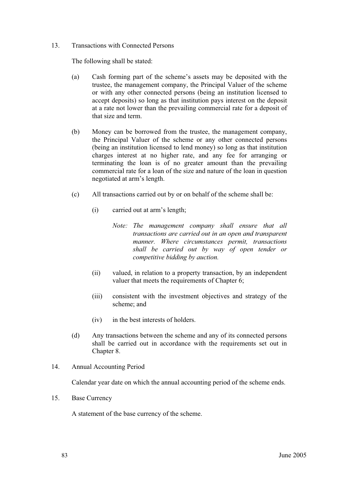#### 13. Transactions with Connected Persons

The following shall be stated:

- (a) Cash forming part of the scheme's assets may be deposited with the trustee, the management company, the Principal Valuer of the scheme or with any other connected persons (being an institution licensed to accept deposits) so long as that institution pays interest on the deposit at a rate not lower than the prevailing commercial rate for a deposit of that size and term.
- (b) Money can be borrowed from the trustee, the management company, the Principal Valuer of the scheme or any other connected persons (being an institution licensed to lend money) so long as that institution charges interest at no higher rate, and any fee for arranging or terminating the loan is of no greater amount than the prevailing commercial rate for a loan of the size and nature of the loan in question negotiated at arm's length.
- (c) All transactions carried out by or on behalf of the scheme shall be:
	- (i) carried out at arm's length;
		- *Note: The management company shall ensure that all transactions are carried out in an open and transparent manner. Where circumstances permit, transactions shall be carried out by way of open tender or competitive bidding by auction.*
	- (ii) valued, in relation to a property transaction, by an independent valuer that meets the requirements of Chapter 6;
	- (iii) consistent with the investment objectives and strategy of the scheme; and
	- (iv) in the best interests of holders.
- (d) Any transactions between the scheme and any of its connected persons shall be carried out in accordance with the requirements set out in Chapter 8.
- 14. Annual Accounting Period

Calendar year date on which the annual accounting period of the scheme ends.

15. Base Currency

A statement of the base currency of the scheme.